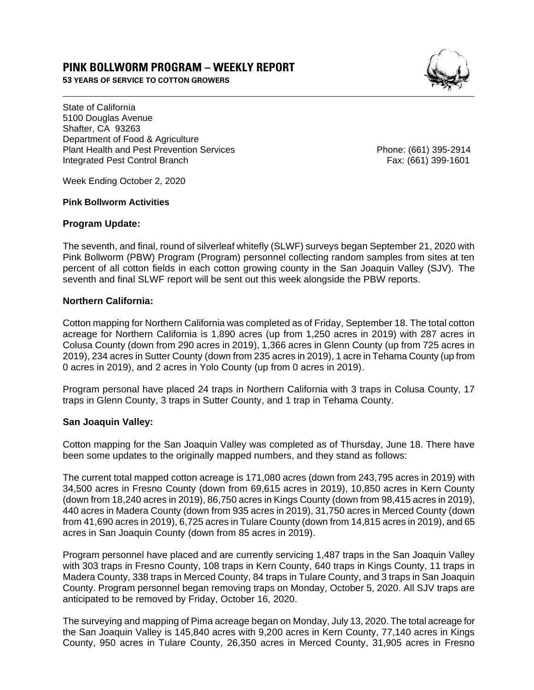# **PINK BOLLWORM PROGRAM – WEEKLY REPORT**

**53 YEARS OF SERVICE TO COTTON GROWERS** 



State of California 5100 Douglas Avenue Shafter, CA 93263 Department of Food & Agriculture Plant Health and Pest Prevention Services Phone: (661) 395-2914 Integrated Pest Control Branch Fax: (661) 399-1601

Week Ending October 2, 2020

#### **Pink Bollworm Activities**

#### **Program Update:**

The seventh, and final, round of silverleaf whitefly (SLWF) surveys began September 21, 2020 with Pink Bollworm (PBW) Program (Program) personnel collecting random samples from sites at ten percent of all cotton fields in each cotton growing county in the San Joaquin Valley (SJV). The seventh and final SLWF report will be sent out this week alongside the PBW reports.

## **Northern California:**

Cotton mapping for Northern California was completed as of Friday, September 18. The total cotton acreage for Northern California is 1,890 acres (up from 1,250 acres in 2019) with 287 acres in Colusa County (down from 290 acres in 2019), 1,366 acres in Glenn County (up from 725 acres in 2019), 234 acres in Sutter County (down from 235 acres in 2019), 1 acre in Tehama County (up from 0 acres in 2019), and 2 acres in Yolo County (up from 0 acres in 2019).

Program personal have placed 24 traps in Northern California with 3 traps in Colusa County, 17 traps in Glenn County, 3 traps in Sutter County, and 1 trap in Tehama County.

## **San Joaquin Valley:**

Cotton mapping for the San Joaquin Valley was completed as of Thursday, June 18. There have been some updates to the originally mapped numbers, and they stand as follows:

The current total mapped cotton acreage is 171,080 acres (down from 243,795 acres in 2019) with 34,500 acres in Fresno County (down from 69,615 acres in 2019), 10,850 acres in Kern County (down from 18,240 acres in 2019), 86,750 acres in Kings County (down from 98,415 acres in 2019), 440 acres in Madera County (down from 935 acres in 2019), 31,750 acres in Merced County (down from 41,690 acres in 2019), 6,725 acres in Tulare County (down from 14,815 acres in 2019), and 65 acres in San Joaquin County (down from 85 acres in 2019).

Program personnel have placed and are currently servicing 1,487 traps in the San Joaquin Valley with 303 traps in Fresno County, 108 traps in Kern County, 640 traps in Kings County, 11 traps in Madera County, 338 traps in Merced County, 84 traps in Tulare County, and 3 traps in San Joaquin County. Program personnel began removing traps on Monday, October 5, 2020. All SJV traps are anticipated to be removed by Friday, October 16, 2020.

The surveying and mapping of Pima acreage began on Monday, July 13, 2020. The total acreage for the San Joaquin Valley is 145,840 acres with 9,200 acres in Kern County, 77,140 acres in Kings County, 950 acres in Tulare County, 26,350 acres in Merced County, 31,905 acres in Fresno